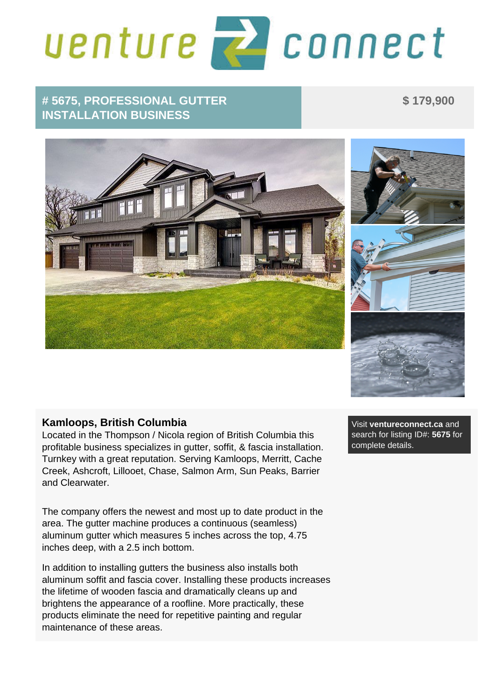## venture **z** connect

## **# 5675, PROFESSIONAL GUTTER INSTALLATION BUSINESS**

 **\$ 179,900** 



## **Kamloops, British Columbia**

Located in the Thompson / Nicola region of British Columbia this profitable business specializes in gutter, soffit, & fascia installation. Turnkey with a great reputation. Serving Kamloops, Merritt, Cache Creek, Ashcroft, Lillooet, Chase, Salmon Arm, Sun Peaks, Barrier and Clearwater.

The company offers the newest and most up to date product in the area. The gutter machine produces a continuous (seamless) aluminum gutter which measures 5 inches across the top, 4.75 inches deep, with a 2.5 inch bottom.

In addition to installing gutters the business also installs both aluminum soffit and fascia cover. Installing these products increases the lifetime of wooden fascia and dramatically cleans up and brightens the appearance of a roofline. More practically, these products eliminate the need for repetitive painting and regular maintenance of these areas.

 Visit **ventureconnect.ca** and search for listing ID#: **5675** for complete details.